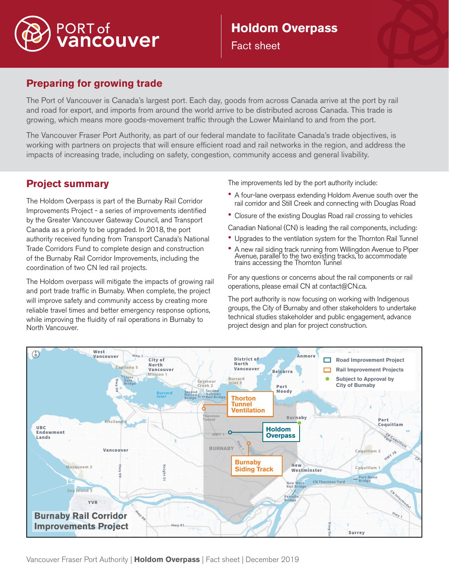

# **Holdom Overpass**  Fact sheet



## **Preparing for growing trade**

The Port of Vancouver is Canada's largest port. Each day, goods from across Canada arrive at the port by rail and road for export, and imports from around the world arrive to be distributed across Canada. This trade is growing, which means more goods-movement traffic through the Lower Mainland to and from the port.

The Vancouver Fraser Port Authority, as part of our federal mandate to facilitate Canada's trade objectives, is working with partners on projects that will ensure efficient road and rail networks in the region, and address the impacts of increasing trade, including on safety, congestion, community access and general livability.

## **Project summary**

The Holdom Overpass is part of the Burnaby Rail Corridor Improvements Project - a series of improvements identified by the Greater Vancouver Gateway Council, and Transport Canada as a priority to be upgraded. In 2018, the port authority received funding from Transport Canada's National Trade Corridors Fund to complete design and construction of the Burnaby Rail Corridor Improvements, including the coordination of two CN led rail projects.

The Holdom overpass will mitigate the impacts of growing rail and port trade traffic in Burnaby. When complete, the project will improve safety and community access by creating more reliable travel times and better emergency response options, while improving the fluidity of rail operations in Burnaby to North Vancouver.

The improvements led by the port authority include:

• A four-lane overpass extending Holdom Avenue south over the rail corridor and Still Creek and connecting with Douglas Road

• Closure of the existing Douglas Road rail crossing to vehicles

- Canadian National (CN) is leading the rail components, including:
- Upgrades to the ventilation system for the Thornton Rail Tunnel
- A new rail siding track running from Willingdon Avenue to Piper Avenue, parallel to the two existing tracks, to accommodate trains accessing the Thornton Tunnel

For any questions or concerns about the rail components or rail operations, please email CN at contact@CN.ca.

The port authority is now focusing on working with Indigenous groups, the City of Burnaby and other stakeholders to undertake technical studies stakeholder and public engagement, advance project design and plan for project construction.

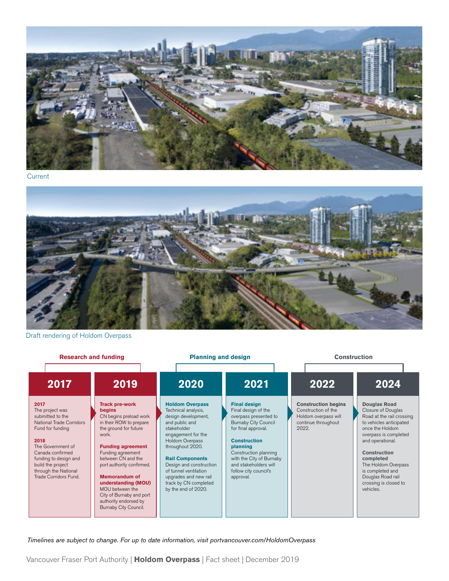

**Current** 



Draft rendering of Holdom Overpass

**Research and funding Planning and design Planning and design Construction** 

| 2017                                                                                                                                                                                                                                        | 2019                                                                                                                                                                                                                                                                                                                                                                       | 2020                                                                                                                                                                                                                                                                                                                      | 2021                                                                                                                                                                                                                                                                             | 2022                                                                                                      | 2024                                                                                                                                                                                                                                                                                                        |
|---------------------------------------------------------------------------------------------------------------------------------------------------------------------------------------------------------------------------------------------|----------------------------------------------------------------------------------------------------------------------------------------------------------------------------------------------------------------------------------------------------------------------------------------------------------------------------------------------------------------------------|---------------------------------------------------------------------------------------------------------------------------------------------------------------------------------------------------------------------------------------------------------------------------------------------------------------------------|----------------------------------------------------------------------------------------------------------------------------------------------------------------------------------------------------------------------------------------------------------------------------------|-----------------------------------------------------------------------------------------------------------|-------------------------------------------------------------------------------------------------------------------------------------------------------------------------------------------------------------------------------------------------------------------------------------------------------------|
| 2017<br>The project was<br>submitted to the<br>National Trade Corridors<br>Fund for funding<br>2018<br>The Government of<br>Canada confirmed<br>funding to design and<br>build the project<br>through the National<br>Trade Corridors Fund. | <b>Track pre-work</b><br>begins<br>CN begins preload work<br>in their ROW to prepare<br>the ground for future<br>work.<br><b>Funding agreement</b><br>Funding agreement<br>between CN and the<br>port authority confirmed.<br><b>Memorandum of</b><br>understanding (MOU)<br>MOU between the<br>City of Burnaby and port<br>authority endorsed by<br>Burnaby City Council. | <b>Holdom Overpass</b><br>Technical analysis,<br>design development,<br>and public and<br>stakeholder<br>engagement for the<br>Holdom Overpass<br>throughout 2020.<br><b>Rail Components</b><br>Design and construction<br>of tunnel ventilation<br>upgrades and new rail<br>track by CN completed<br>by the end of 2020. | <b>Final design</b><br>Final design of the<br>overpass presented to<br><b>Burnaby City Council</b><br>for final approval.<br><b>Construction</b><br>planning<br>Construction planning<br>with the City of Burnaby<br>and stakeholders will<br>follow city council's<br>approval. | <b>Construction begins</b><br>Construction of the<br>Holdom overpass will<br>continue throughout<br>2022. | <b>Douglas Road</b><br>Closure of Douglas<br>Road at the rail crossing<br>to vehicles anticipated<br>once the Holdom<br>overpass is completed<br>and operational.<br><b>Construction</b><br>completed<br>The Holdom Overpass<br>is completed and<br>Douglas Road rail<br>crossing is closed to<br>vehicles. |

Timelines are subject to change. For up to date information, visit portvancouver.com/HoldomOverpass

Vancouver Fraser Port Authority | **Holdom Overpass** | Fact sheet | December 2019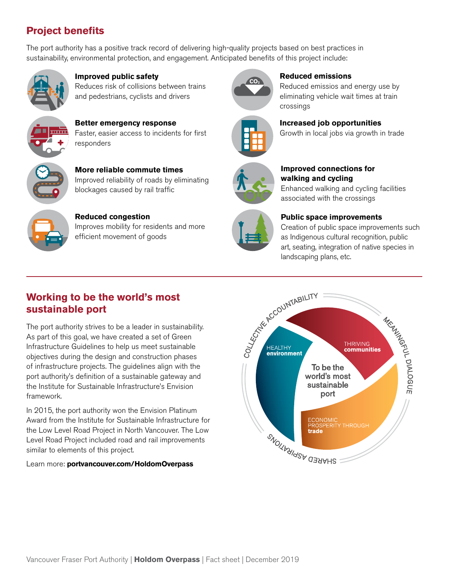# **Project benefits**

The port authority has a positive track record of delivering high-quality projects based on best practices in sustainability, environmental protection, and engagement. Anticipated benefits of this project include:



**Improved public safety** Reduces risk of collisions between trains and pedestrians, cyclists and drivers



**Better emergency response** Faster, easier access to incidents for first responders



**More reliable commute times** Improved reliability of roads by eliminating blockages caused by rail traffic



**Reduced congestion** Improves mobility for residents and more efficient movement of goods



**Reduced emissions** 

Reduced emissios and energy use by eliminating vehicle wait times at train crossings



**Increased job opportunities**

Growth in local jobs via growth in trade



**Improved connections for walking and cycling** 

Enhanced walking and cycling facilities associated with the crossings

## **Public space improvements**

Creation of public space improvements such as Indigenous cultural recognition, public art, seating, integration of native species in landscaping plans, etc.

## **Working to be the world's most sustainable port**

The port authority strives to be a leader in sustainability. As part of this goal, we have created a set of Green Infrastructure Guidelines to help us meet sustainable objectives during the design and construction phases of infrastructure projects. The guidelines align with the port authority's definition of a sustainable gateway and the Institute for Sustainable Infrastructure's Envision framework.

In 2015, the port authority won the Envision Platinum Award from the Institute for Sustainable Infrastructure for the Low Level Road Project in North Vancouver. The Low Level Road Project included road and rail improvements similar to elements of this project.

Learn more: **portvancouver.com/HoldomOverpass**